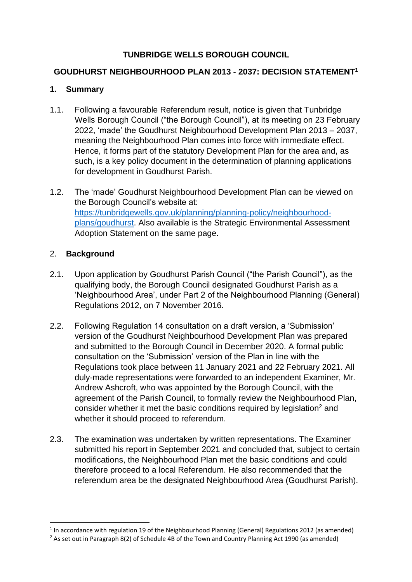# **TUNBRIDGE WELLS BOROUGH COUNCIL**

#### **GOUDHURST NEIGHBOURHOOD PLAN 2013 - 2037: DECISION STATEMENT<sup>1</sup>**

#### **1. Summary**

- 1.1. Following a favourable Referendum result, notice is given that Tunbridge Wells Borough Council ("the Borough Council"), at its meeting on 23 February 2022, 'made' the Goudhurst Neighbourhood Development Plan 2013 – 2037, meaning the Neighbourhood Plan comes into force with immediate effect. Hence, it forms part of the statutory Development Plan for the area and, as such, is a key policy document in the determination of planning applications for development in Goudhurst Parish.
- 1.2. The 'made' Goudhurst Neighbourhood Development Plan can be viewed on the Borough Council's website at: [https://tunbridgewells.gov.uk/planning/planning-policy/neighbourhood](https://tunbridgewells.gov.uk/planning/planning-policy/neighbourhood-plans/goudhurst)[plans/goudhurst.](https://tunbridgewells.gov.uk/planning/planning-policy/neighbourhood-plans/goudhurst) Also available is the Strategic Environmental Assessment Adoption Statement on the same page.

## 2. **Background**

- 2.1. Upon application by Goudhurst Parish Council ("the Parish Council"), as the qualifying body, the Borough Council designated Goudhurst Parish as a 'Neighbourhood Area', under Part 2 of the Neighbourhood Planning (General) Regulations 2012, on 7 November 2016.
- 2.2. Following Regulation 14 consultation on a draft version, a 'Submission' version of the Goudhurst Neighbourhood Development Plan was prepared and submitted to the Borough Council in December 2020. A formal public consultation on the 'Submission' version of the Plan in line with the Regulations took place between 11 January 2021 and 22 February 2021. All duly-made representations were forwarded to an independent Examiner, Mr. Andrew Ashcroft, who was appointed by the Borough Council, with the agreement of the Parish Council, to formally review the Neighbourhood Plan, consider whether it met the basic conditions required by legislation<sup>2</sup> and whether it should proceed to referendum.
- 2.3. The examination was undertaken by written representations. The Examiner submitted his report in September 2021 and concluded that, subject to certain modifications, the Neighbourhood Plan met the basic conditions and could therefore proceed to a local Referendum. He also recommended that the referendum area be the designated Neighbourhood Area (Goudhurst Parish).

<sup>&</sup>lt;sup>1</sup> In accordance with regulation 19 of the Neighbourhood Planning (General) Regulations 2012 (as amended)

<sup>&</sup>lt;sup>2</sup> As set out in Paragraph 8(2) of Schedule 4B of the Town and Country Planning Act 1990 (as amended)